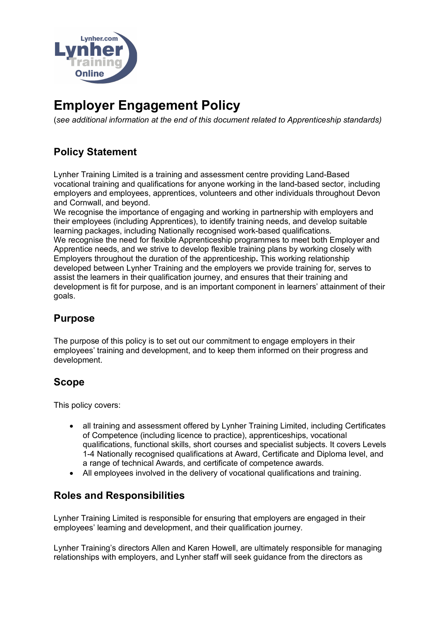

# **Employer Engagement Policy**

(*see additional information at the end of this document related to Apprenticeship standards)*

## **Policy Statement**

Lynher Training Limited is a training and assessment centre providing Land-Based vocational training and qualifications for anyone working in the land-based sector, including employers and employees, apprentices, volunteers and other individuals throughout Devon and Cornwall, and beyond.

We recognise the importance of engaging and working in partnership with employers and their employees (including Apprentices), to identify training needs, and develop suitable learning packages, including Nationally recognised work-based qualifications. We recognise the need for flexible Apprenticeship programmes to meet both Employer and Apprentice needs, and we strive to develop flexible training plans by working closely with Employers throughout the duration of the apprenticeship**.** This working relationship developed between Lynher Training and the employers we provide training for, serves to assist the learners in their qualification journey, and ensures that their training and development is fit for purpose, and is an important component in learners' attainment of their goals.

## **Purpose**

The purpose of this policy is to set out our commitment to engage employers in their employees' training and development, and to keep them informed on their progress and development.

## **Scope**

This policy covers:

- all training and assessment offered by Lynher Training Limited, including Certificates of Competence (including licence to practice), apprenticeships, vocational qualifications, functional skills, short courses and specialist subjects. It covers Levels 1-4 Nationally recognised qualifications at Award, Certificate and Diploma level, and a range of technical Awards, and certificate of competence awards.
- All employees involved in the delivery of vocational qualifications and training.

## **Roles and Responsibilities**

Lynher Training Limited is responsible for ensuring that employers are engaged in their employees' learning and development, and their qualification journey.

Lynher Training's directors Allen and Karen Howell, are ultimately responsible for managing relationships with employers, and Lynher staff will seek guidance from the directors as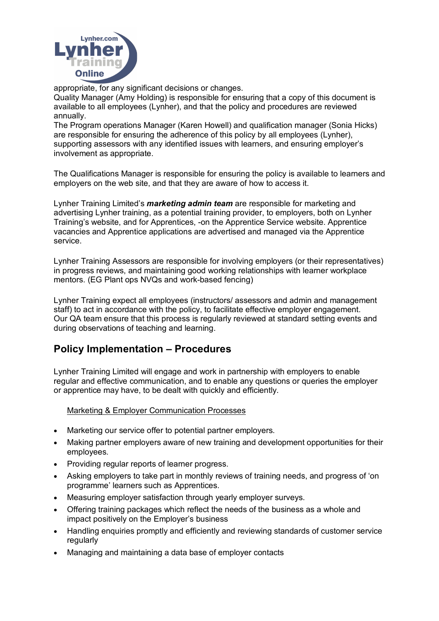

appropriate, for any significant decisions or changes.

Quality Manager (Amy Holding) is responsible for ensuring that a copy of this document is available to all employees (Lynher), and that the policy and procedures are reviewed annually.

The Program operations Manager (Karen Howell) and qualification manager (Sonia Hicks) are responsible for ensuring the adherence of this policy by all employees (Lynher), supporting assessors with any identified issues with learners, and ensuring employer's involvement as appropriate.

The Qualifications Manager is responsible for ensuring the policy is available to learners and employers on the web site, and that they are aware of how to access it.

Lynher Training Limited's *marketing admin team* are responsible for marketing and advertising Lynher training, as a potential training provider, to employers, both on Lynher Training's website, and for Apprentices, -on the Apprentice Service website. Apprentice vacancies and Apprentice applications are advertised and managed via the Apprentice service.

Lynher Training Assessors are responsible for involving employers (or their representatives) in progress reviews, and maintaining good working relationships with learner workplace mentors. (EG Plant ops NVQs and work-based fencing)

Lynher Training expect all employees (instructors/ assessors and admin and management staff) to act in accordance with the policy, to facilitate effective employer engagement. Our QA team ensure that this process is regularly reviewed at standard setting events and during observations of teaching and learning.

## **Policy Implementation – Procedures**

Lynher Training Limited will engage and work in partnership with employers to enable regular and effective communication, and to enable any questions or queries the employer or apprentice may have, to be dealt with quickly and efficiently.

### Marketing & Employer Communication Processes

- Marketing our service offer to potential partner employers.
- Making partner employers aware of new training and development opportunities for their employees.
- Providing regular reports of learner progress.
- Asking employers to take part in monthly reviews of training needs, and progress of 'on programme' learners such as Apprentices.
- Measuring employer satisfaction through yearly employer surveys.
- Offering training packages which reflect the needs of the business as a whole and impact positively on the Employer's business
- Handling enquiries promptly and efficiently and reviewing standards of customer service regularly
- Managing and maintaining a data base of employer contacts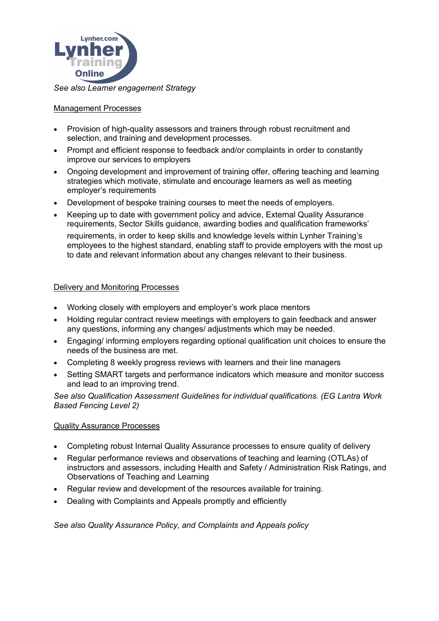

## Management Processes

- Provision of high-quality assessors and trainers through robust recruitment and selection, and training and development processes.
- Prompt and efficient response to feedback and/or complaints in order to constantly improve our services to employers
- Ongoing development and improvement of training offer, offering teaching and learning strategies which motivate, stimulate and encourage learners as well as meeting employer's requirements
- Development of bespoke training courses to meet the needs of employers.
- Keeping up to date with government policy and advice, External Quality Assurance requirements, Sector Skills guidance, awarding bodies and qualification frameworks' requirements, in order to keep skills and knowledge levels within Lynher Training's employees to the highest standard, enabling staff to provide employers with the most up to date and relevant information about any changes relevant to their business.

### Delivery and Monitoring Processes

- Working closely with employers and employer's work place mentors
- Holding regular contract review meetings with employers to gain feedback and answer any questions, informing any changes/ adjustments which may be needed.
- Engaging/ informing employers regarding optional qualification unit choices to ensure the needs of the business are met.
- Completing 8 weekly progress reviews with learners and their line managers
- Setting SMART targets and performance indicators which measure and monitor success and lead to an improving trend.

*See also Qualification Assessment Guidelines for individual qualifications. (EG Lantra Work Based Fencing Level 2)*

### Quality Assurance Processes

- Completing robust Internal Quality Assurance processes to ensure quality of delivery
- Regular performance reviews and observations of teaching and learning (OTLAs) of instructors and assessors, including Health and Safety / Administration Risk Ratings, and Observations of Teaching and Learning
- Regular review and development of the resources available for training.
- Dealing with Complaints and Appeals promptly and efficiently

*See also Quality Assurance Policy, and Complaints and Appeals policy*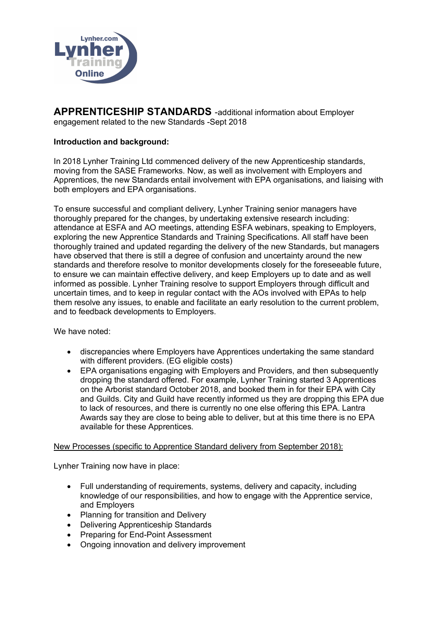

**APPRENTICESHIP STANDARDS** -additional information about Employer engagement related to the new Standards -Sept 2018

### **Introduction and background:**

In 2018 Lynher Training Ltd commenced delivery of the new Apprenticeship standards, moving from the SASE Frameworks. Now, as well as involvement with Employers and Apprentices, the new Standards entail involvement with EPA organisations, and liaising with both employers and EPA organisations.

To ensure successful and compliant delivery, Lynher Training senior managers have thoroughly prepared for the changes, by undertaking extensive research including: attendance at ESFA and AO meetings, attending ESFA webinars, speaking to Employers, exploring the new Apprentice Standards and Training Specifications. All staff have been thoroughly trained and updated regarding the delivery of the new Standards, but managers have observed that there is still a degree of confusion and uncertainty around the new standards and therefore resolve to monitor developments closely for the foreseeable future, to ensure we can maintain effective delivery, and keep Employers up to date and as well informed as possible. Lynher Training resolve to support Employers through difficult and uncertain times, and to keep in regular contact with the AOs involved with EPAs to help them resolve any issues, to enable and facilitate an early resolution to the current problem, and to feedback developments to Employers.

We have noted:

- discrepancies where Employers have Apprentices undertaking the same standard with different providers. (EG eligible costs)
- EPA organisations engaging with Employers and Providers, and then subsequently dropping the standard offered. For example, Lynher Training started 3 Apprentices on the Arborist standard October 2018, and booked them in for their EPA with City and Guilds. City and Guild have recently informed us they are dropping this EPA due to lack of resources, and there is currently no one else offering this EPA. Lantra Awards say they are close to being able to deliver, but at this time there is no EPA available for these Apprentices.

### New Processes (specific to Apprentice Standard delivery from September 2018):

Lynher Training now have in place:

- Full understanding of requirements, systems, delivery and capacity, including knowledge of our responsibilities, and how to engage with the Apprentice service, and Employers
- Planning for transition and Delivery
- Delivering Apprenticeship Standards
- Preparing for End-Point Assessment
- Ongoing innovation and delivery improvement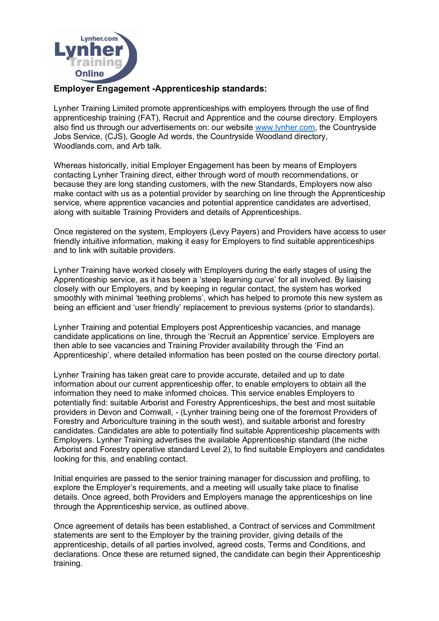

### **Employer Engagement -Apprenticeship standards:**

Lynher Training Limited promote apprenticeships with employers through the use of find apprenticeship training (FAT), Recruit and Apprentice and the course directory. Employers also find us through our advertisements on: our website www.lynher.com, the Countryside Jobs Service, (CJS), Google Ad words, the Countryside Woodland directory, Woodlands.com, and Arb talk.

Whereas historically, initial Employer Engagement has been by means of Employers contacting Lynher Training direct, either through word of mouth recommendations, or because they are long standing customers, with the new Standards, Employers now also make contact with us as a potential provider by searching on line through the Apprenticeship service, where apprentice vacancies and potential apprentice candidates are advertised, along with suitable Training Providers and details of Apprenticeships.

Once registered on the system, Employers (Levy Payers) and Providers have access to user friendly intuitive information, making it easy for Employers to find suitable apprenticeships and to link with suitable providers.

Lynher Training have worked closely with Employers during the early stages of using the Apprenticeship service, as it has been a 'steep learning curve' for all involved. By liaising closely with our Employers, and by keeping in regular contact, the system has worked smoothly with minimal 'teething problems', which has helped to promote this new system as being an efficient and 'user friendly' replacement to previous systems (prior to standards).

Lynher Training and potential Employers post Apprenticeship vacancies, and manage candidate applications on line, through the 'Recruit an Apprentice' service. Employers are then able to see vacancies and Training Provider availability through the 'Find an Apprenticeship', where detailed information has been posted on the course directory portal.

Lynher Training has taken great care to provide accurate, detailed and up to date information about our current apprenticeship offer, to enable employers to obtain all the information they need to make informed choices. This service enables Employers to potentially find: suitable Arborist and Forestry Apprenticeships, the best and most suitable providers in Devon and Cornwall, - (Lynher training being one of the foremost Providers of Forestry and Arboriculture training in the south west), and suitable arborist and forestry candidates. Candidates are able to potentially find suitable Apprenticeship placements with Employers. Lynher Training advertises the available Apprenticeship standard (the niche Arborist and Forestry operative standard Level 2), to find suitable Employers and candidates looking for this, and enabling contact.

Initial enquiries are passed to the senior training manager for discussion and profiling, to explore the Employer's requirements, and a meeting will usually take place to finalise details. Once agreed, both Providers and Employers manage the apprenticeships on line through the Apprenticeship service, as outlined above.

Once agreement of details has been established, a Contract of services and Commitment statements are sent to the Employer by the training provider, giving details of the apprenticeship, details of all parties involved, agreed costs, Terms and Conditions, and declarations. Once these are returned signed, the candidate can begin their Apprenticeship training.